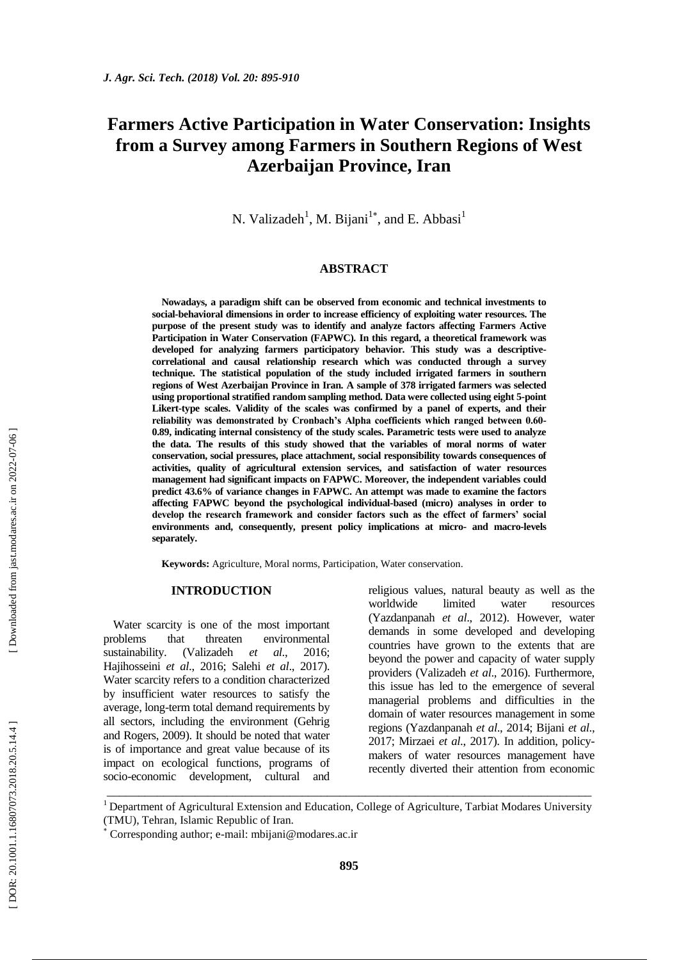## **Farmers Active Participation in Water Conservation: Insights from a Survey among Farmers in Southern Regions of West Azerbaijan Province, Iran**

N. Valizadeh<sup>1</sup>, M. Bijani<sup>1\*</sup>, and E. Abbasi<sup>1</sup>

#### **ABSTRACT**

**Nowadays, a paradigm shift can be observed from economic and technical investments to social -behavioral dimensions in order to increase efficiency of exploiting water resources. The purpose of the present study was to identify and analyze factors affecting Farmers Active Participation in Water Conservation (FAPWC). In this regard, a theoretical framework was developed for analyzing farmers participatory behavior. This study was a descriptive correlational and causal relationship research which was conducted through a survey technique. The statistical population of the study included irrigated farmers in southern regions of West Azerbaijan Province in Iran. A sample of 378 irrigated farmers was selected using proportional stratified random sampling method. Data were collected using eight 5 -point Likert -type scales. Validity of the scales was confirmed by a panel of experts, and their reliability was demonstrated by Cronbach's Alpha coefficients which ranged between 0.60 - 0.89, indicating internal consistency of the study scales. Parametric tests were used to analyze the data. The results of this study showed that the variables of moral norms of water conservation, social pressures, place attachment, social responsibility towards consequences of activities, quality of agricultural extension services, and satisfaction of water resources management had significant impacts on FAPWC. Moreover, the independent variables could predict 43.6% of variance changes in FAPWC. An attempt was made to examine the factors affecting FAPWC beyond the psychological individual -based (micro) analyses in order to develop the research framework and consider factors such as the effect of farmers' social environments and, consequently, present policy implications at micro - and macro -levels separately.**

**Keywords:** Agriculture, Moral norms, Participation, Water conservation .

#### **INTRODUCTION**

Water scarcity is one of the most important problems that threaten environmental sustainability. (Valizadeh *et al*., 2016; Hajihosseini *et al*., 2016; Salehi *et al*., 2017). Water scarcity refers to a condition characterized by insufficient water resources to satisfy the average, long -term total demand requirements by all sectors, including the environment (Gehrig and Rogers, 2009). It should be noted that water is of importance and great value because of its impact on ecological functions, programs of socio -economic development, cultural and religious values, natural beauty as well as the worldwide limited water resources (Yazdanpanah *et al*., 2012). However, water demands in some developed and developing countries have grown to the extents that are beyond the power and capacity of water supply providers (Valizadeh *et al*., 2016). Furthermore, this issue has led to the emergence of several managerial problems and difficulties in the domain of water resources management in some regions (Yazdanpanah *et al*., 2014; Bijani *et al*., 2017; Mirzaei *et al*., 2017). In addition, policy makers of water resources management have recently diverted their attention from economic

 $1$  Department of Agricultural Extension and Education, College of Agriculture, Tarbiat Modares University (TMU), Tehran, Islamic Republic of Iran.

\_\_\_\_\_\_\_\_\_\_\_\_\_\_\_\_\_\_\_\_\_\_\_\_\_\_\_\_\_\_\_\_\_\_\_\_\_\_\_\_\_\_\_\_\_\_\_\_\_\_\_\_\_\_\_\_\_\_\_\_\_\_\_\_\_\_\_\_\_\_\_\_\_\_\_\_\_

DOR: 20.1001.1.16807073.2018.20.5.14.4

Corresponding author; e-mail: mbijani@modares.ac.ir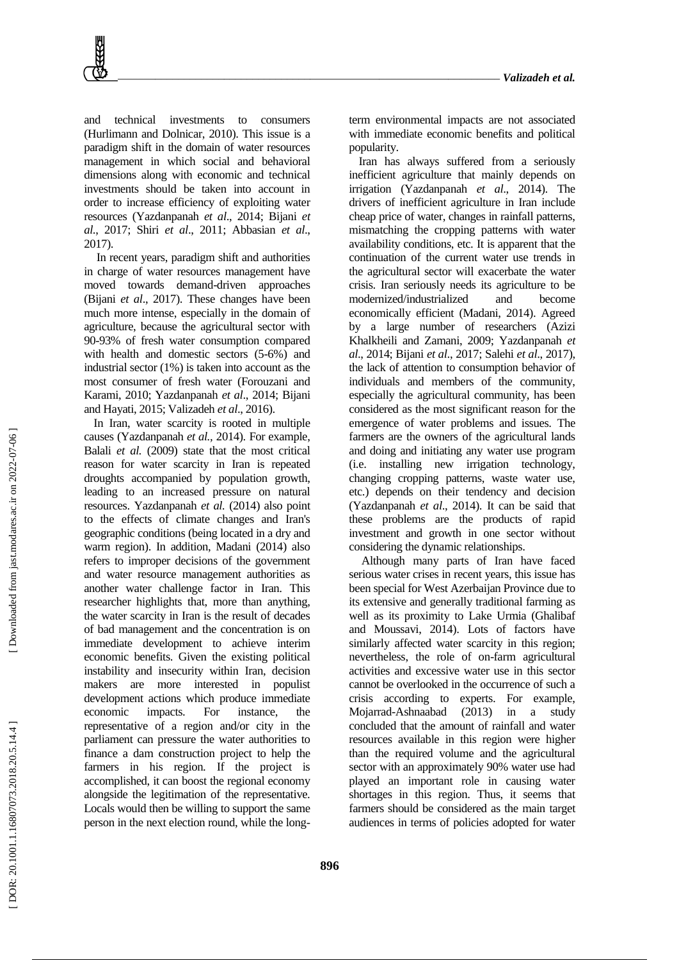and technical investments to consumers (Hurlimann and Dolnicar, 2010). This issue is a paradigm shift in the domain of water resources management in which social and behavioral dimensions along with economic and technical investments should be taken into account in order to increase efficiency of exploiting water resources (Yazdanpanah *et al*., 2014; Bijani *et al*., 2017; Shiri *et al*., 2011; Abbasian *et al*., 2017).

In recent years, paradigm shift and authorities in charge of water resources management have moved towards demand -driven approaches (Bijani *et al*., 2017). These changes have been much more intense, especially in the domain of agriculture, because the agricultural sector with 90 -93% of fresh water consumption compared with health and domestic sectors (5 -6%) and industrial sector (1%) is taken into account as the most consumer of fresh water (Forouzani and Karami, 2010; Yazdanpanah *et al*., 2014; Bijani and Hayati, 2015; Valizadeh *et al*., 2016).

In Iran, water scarcity is rooted in multiple causes (Yazdanpanah *et al.,* 2014). For example, Balali *et al.* (2009) state that the most critical reason for water scarcity in Iran is repeated droughts accompanied by population growth, leading to an increased pressure on natural resources. Yazdanpanah *et al.* (2014) also point to the effects of climate changes and Iran's geographic conditions (being located in a dry and warm region). In addition, Madani (2014) also refers to improper decisions of the government and water resource management authorities as another water challenge factor in Iran. This researcher highlights that, more than anything, the water scarcity in Iran is the result of decades of bad management and the concentration is on immediate development to achieve interim economic benefits. Given the existing political instability and insecurity within Iran, decision makers are more interested in populist development actions which produce immediate economic impacts. For instance, the representative of a region and/or city in the parliament can pressure the water authorities to finance a dam construction project to help the farmers in his region. If the project is accomplished, it can boost the regional economy alongside the legitimation of the representative. Locals would then be willing to support the same person in the next election round, while the long -

term environmental impacts are not associated with immediate economic benefits and political popularity.

Iran has always suffered from a seriously inefficient agriculture that mainly depends on irrigation (Yazdanpanah *et al*., 2014). The drivers of inefficient agriculture in Iran include cheap price of water, changes in rainfall patterns, mismatching the cropping patterns with water availability conditions, etc. It is apparent that the continuation of the current water use trends in the agricultural sector will exacerbate the water crisis. Iran seriously needs its agriculture to be modernized/industrialized and become economically efficient (Madani, 2014). Agreed by a large number of researchers (Azizi Khalkheili and Zamani, 2009; Yazdanpanah *et al*., 2014; Bijani *et al*., 2017; Salehi *et al*., 2017), the lack of attention to consumption behavior of individuals and members of the community, especially the agricultural community, has been considered as the most significant reason for the emergence of water problems and issues. The farmers are the owners of the agricultural lands and doing and initiating any water use program (i.e. installing new irrigation technology, changing cropping patterns, waste water use, etc.) depends on their tendency and decision (Yazdanpanah *et al*., 2014). It can be said that these problems are the products of rapid investment and growth in one sector without considering the dynamic relationships.

Although many parts of Iran have faced serious water crises in recent years, this issue has been special for West Azerbaijan Province due to its extensive and generally traditional farming as well as its proximity to Lake Urmia (Ghalibaf and Moussavi, 2014). Lots of factors have similarly affected water scarcity in this region; nevertheless, the role of on - farm agricultural activities and excessive water use in this sector cannot be overlooked in the occurrence of such a crisis according to experts. For example, Mojarrad -Ashnaabad (2013) in a study concluded that the amount of rainfall and water resources available in this region were higher than the required volume and the agricultural sector with an approximately 90% water use had played an important role in causing water shortages in this region. Thus, it seems that farmers should be considered as the main target audiences in terms of policies adopted for water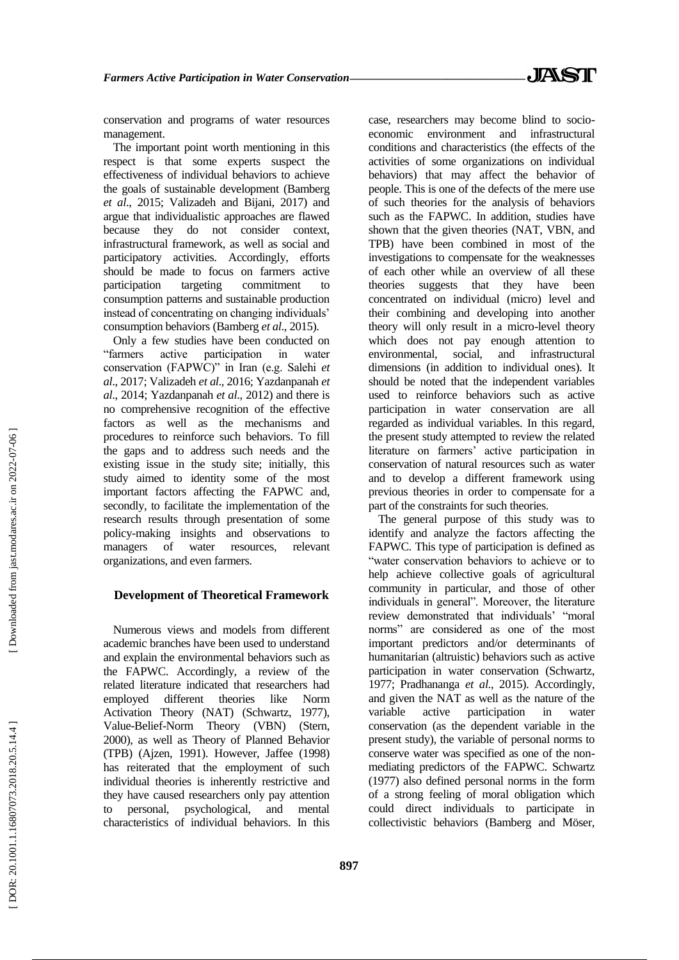conservation and programs of water resources management.

The important point worth mentioning in this respect is that some experts suspect the effectiveness of individual behaviors to achieve the goals of sustainable development (Bamberg *et al*., 2015; Valizadeh and Bijani, 2017) and argue that individualistic approaches are flawed because they do not consider context, infrastructural framework, as well as social and participatory activities. Accordingly, efforts should be made to focus on farmers active participation targeting commitment to consumption patterns and sustainable production instead of concentrating on changing individuals' consumption behaviors (Bamberg *et al*., 2015).

Only a few studies have been conducted on "farmers active participation in water conservation (FAPWC)" in Iran (e.g. Salehi *et al*., 2017; Valizadeh *et al*., 2016; Yazdanpanah *et al*., 2014; Yazdanpanah *et al*., 2012) and there is no comprehensive recognition of the effective factors as well as the mechanisms and procedures to reinforce such behaviors. To fill the gaps and to address such needs and the existing issue in the study site; initially, this study aimed to identity some of the most important factors affecting the FAPWC and, secondly, to facilitate the implementation of the research results through presentation of some policy -making insights and observations to managers of water resources, relevant organizations, and even farmers.

#### **Development of Theoretical Framework**

Numerous views and models from different academic branches have been used to understand and explain the environmental behaviors such as the FAPWC. Accordingly, a review of the related literature indicated that researchers had employed different theories like Norm Activation Theory (NAT) (Schwartz, 1977), Value -Belief-Norm Theory (VBN) (Stern, 2000), as well as Theory of Planned Behavior (TPB) (Ajzen, 1991). However, Jaffee (1998) has reiterated that the employment of such individual theories is inherently restrictive and they have caused researchers only pay attention personal, psychological, and mental characteristics of individual behaviors. In this

case, researchers may become blind to socio economic environment and infrastructural conditions and characteristics (the effects of the activities of some organizations on individual behaviors) that may affect the behavior of people. This is one of the defects of the mere use of such theories for the analysis of behaviors such as the FAPWC. In addition, studies have shown that the given theories (NAT, VBN, and TPB) have been combined in most of the investigations to compensate for the weaknesses of each other while an overview of all these theories suggests that they have been concentrated on individual (micro) level and their combining and developing into another theory will only result in a micro -level theory which does not pay enough attention to environmental, social, and infrastructural dimensions (in addition to individual ones). It should be noted that the independent variables used to reinforce behaviors such as active participation in water conservation are all regarded as individual variables. In this regard, the present study attempted to review the related literature on farmers' active participation in conservation of natural resources such as water and to develop a different framework using previous theories in order to compensate for a part of the constraints for such theories.

The general purpose of this study was to identify and analyze the factors affecting the FAPWC. This type of participation is defined as "water conservation behaviors to achieve or to help achieve collective goals of agricultural community in particular, and those of other individuals in general". Moreover, the literature review demonstrated that individuals' "moral norms" are considered as one of the most important predictors and/or determinants of humanitarian (altruistic) behaviors such as active participation in water conservation (Schwartz, 1977; Pradhananga *et al*., 2015). Accordingly, and given the NAT as well as the nature of the variable active participation in water conservation (as the dependent variable in the present study), the variable of personal norms to conserve water was specified as one of the non mediating predictors of the FAPWC. Schwartz (1977) also defined personal norms in the form of a strong feeling of moral obligation which could direct individuals to participate in collectivistic behaviors (Bamberg and Möser,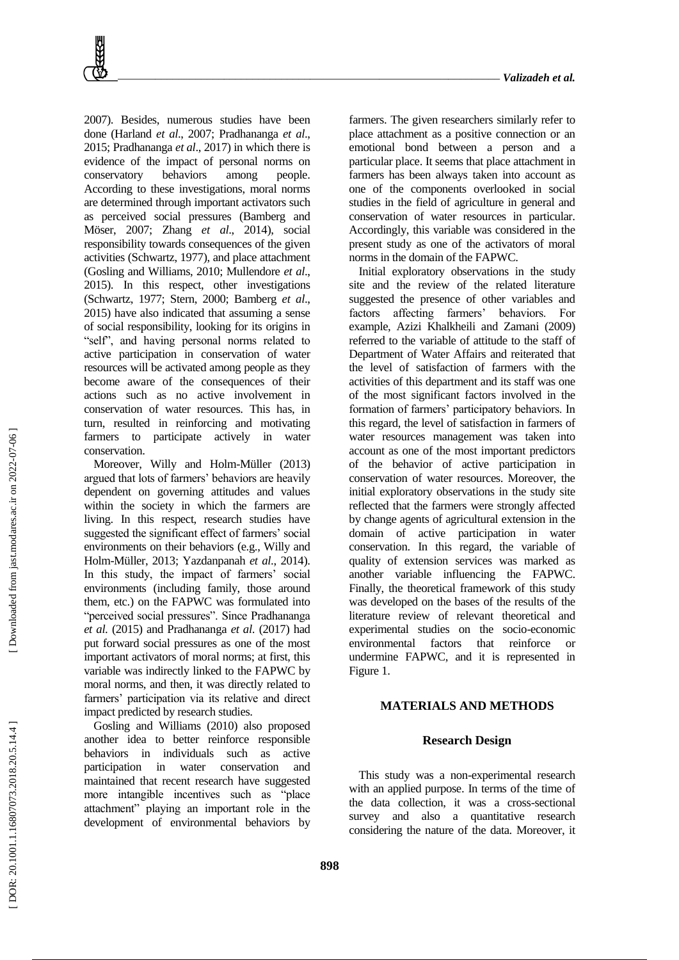2007). Besides, numerous studies have been done (Harland *et al*., 2007; Pradhananga *et al*., 2015; Pradhananga *et al*., 2017) in which there is evidence of the impact of personal norms on conservatory behaviors among people. According to these investigations, moral norms are determined through important activators such as perceived social pressures (Bamberg and Möser, 2007; Zhang *et al*., 2014), social responsibility towards consequences of the given activities (Schwartz, 1977), and place attachment (Gosling and Williams, 2010; Mullendore *et al*., 2015). In this respect, other investigations (Schwartz, 1977; Stern, 2000; Bamberg *et al*., 2015) have also indicated that assuming a sense of social responsibility, looking for its origins in "self", and having personal norms related to active participation in conservation of water resources will be activated among people as they become aware of the consequences of their actions such as no active involvement in conservation of water resources. This has, in turn, resulted in reinforcing and motivating farmers to participate actively in water conservation.

Moreover, Willy and Holm -Müller (2013) argued that lots of farmers' behaviors are heavily dependent on governing attitudes and values within the society in which the farmers are living. In this respect, research studies have suggested the significant effect of farmers' social environments on their behaviors (e.g., Willy and Holm -Müller, 2013; Yazdanpanah *et al*., 2014). In this study, the impact of farmers' social environments (including family, those around them, etc.) on the FAPWC was formulated into "perceived social pressures". Since Pradhananga *et al*. (2015) and Pradhananga *et al*. (2017) had put forward social pressures as one of the most important activators of moral norms; at first, this variable was indirectly linked to the FAPWC by moral norms, and then, it was directly related to farmers' participation via its relative and direct impact predicted by research studies.

Gosling and Williams (2010) also proposed another idea to better reinforce responsible behaviors in individuals such as active participation in water conservation and maintained that recent research have suggested more intangible incentives such as "place attachment" playing an important role in the development of environmental behaviors by

farmers. The given researchers similarly refer to place attachment as a positive connection or an emotional bond between a person and a particular place. It seems that place attachment in farmers has been always taken into account as one of the components overlooked in social studies in the field of agriculture in general and conservation of water resources in particular. Accordingly, this variable was considered in the present study as one of the activators of moral norms in the domain of the FAPWC.

Initial exploratory observations in the study site and the review of the related literature suggested the presence of other variables and factors affecting farmers' behaviors. For example, Azizi Khalkheili and Zamani (2009) referred to the variable of attitude to the staff of Department of Water Affairs and reiterated that the level of satisfaction of farmers with the activities of this department and its staff was one of the most significant factors involved in the formation of farmers' participatory behaviors. In this regard, the level of satisfaction in farmers of water resources management was taken into account as one of the most important predictors of the behavior of active participation in conservation of water resources. Moreover, the initial exploratory observations in the study site reflected that the farmers were strongly affected by change agents of agricultural extension in the domain of active participation in water conservation. In this regard, the variable of quality of extension services was marked as another variable influencing the FAPWC. Finally, the theoretical framework of this study was developed on the bases of the results of the literature review of relevant theoretical and experimental studies on the socio -economic environmental factors that reinforce or undermine FAPWC, and it is represented in Figure 1.

#### **MATERIALS AND METHOD S**

#### **Research Design**

This study was a non -experimental research with an applied purpose. In terms of the time of the data collection, it was a cross -sectional survey and also a quantitative research considering the nature of the data. Moreover, it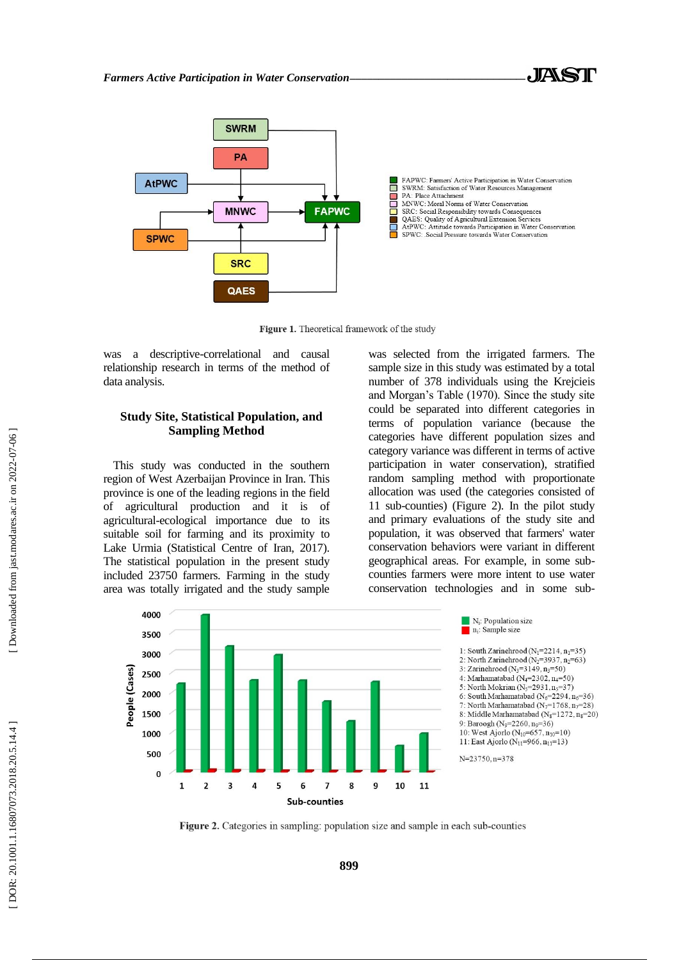

Figure 1. Theoretical framework of the study

was a descriptive-correlational and causal relationship research in terms of the method of data analysis.

## **Study Site, Statistical Population, and Sampling Method**

This study was conducted in the southern region of West Azerbaijan Province in Iran. This province is one of the leading regions in the field of agricultural production and it is of agricultural -ecological importance due to its suitable soil for farming and its proximity to Lake Urmia (Statistical Centre of Iran, 2017). The statistical population in the present study included 23750 farmers. Farming in the study area was totally irrigated and the study sample

was selected from the irrigated farmers. The sample size in this study was estimated by a total number of 378 individuals using the Krejcieis and Morgan's Table (1970). Since the study site could be separated into different categories in terms of population variance (because the categories have different population sizes and category variance was different in terms of active participation in water conservation), stratified random sampling method with proportionate allocation was used (the categories consisted of 11 sub -counties) (Figure 2). In the pilot study and primary evaluations of the study site and population, it was observed that farmers' water conservation behaviors were variant in different geographical areas. For example, in some sub counties farmers were more intent to use water conservation technologies and in some sub -



Figure 2. Categories in sampling: population size and sample in each sub-counties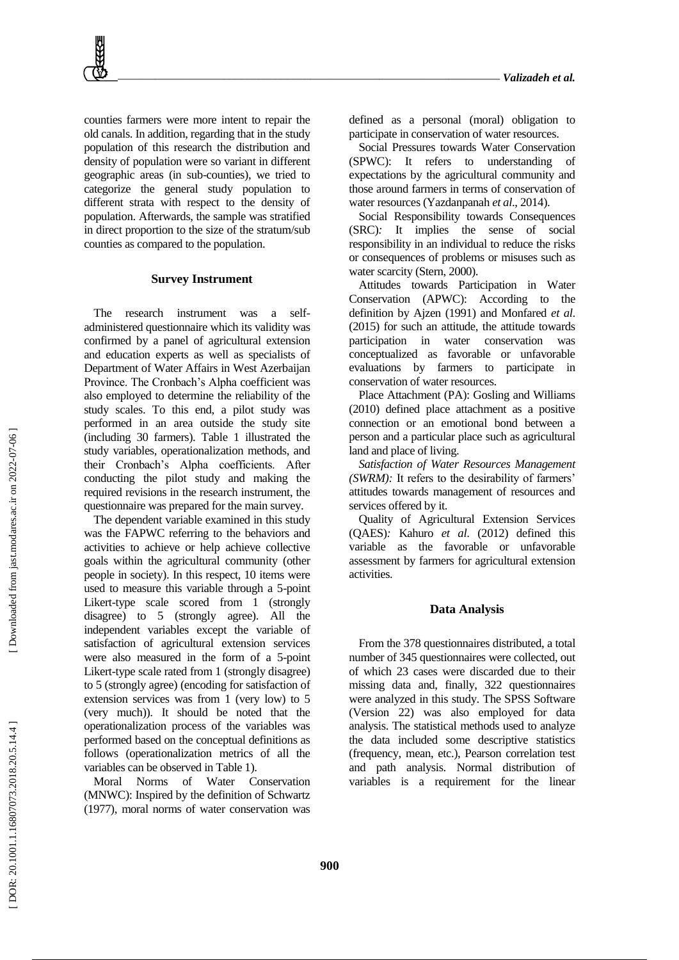counties farmers were more intent to repair the old canals. In addition, regarding that in the study population of this research the distribution and density of population were so variant in different geographic areas (in sub -counties), we tried to categorize the general study population to different strata with respect to the density of population. Afterwards, the sample was stratified in direct proportion to the size of the stratum/sub counties as compared to the population.

#### **Survey Instrument**

The research instrument was a selfadministered questionnaire which its validity was confirmed by a panel of agricultural extension and education experts as well as specialists of Department of Water Affairs in West Azerbaijan Province. The Cronbach's Alpha coefficient was also employed to determine the reliability of the study scales. To this end, a pilot study was performed in an area outside the study site (including 30 farmers). Table 1 illustrated the study variables, operationalization methods, and their Cronbach's Alpha coefficients. After conducting the pilot study and making the required revisions in the research instrument, the questionnaire was prepared for the main survey.

The dependent variable examined in this study was the FAPWC referring to the behaviors and activities to achieve or help achieve collective goals within the agricultural community (other people in society). In this respect, 10 items were used to measure this variable through a 5 -point Likert -type scale scored from 1 (strongly disagree) to 5 (strongly agree). All the independent variables except the variable of satisfaction of agricultural extension services were also measured in the form of a 5 -point Likert -type scale rated from 1 (strongly disagree) to 5 (strongly agree) (encoding for satisfaction of extension services was from 1 (very low) to 5 (very much)). It should be noted that the operationalization process of the variables was performed based on the conceptual definitions as follows (operationalization metrics of all the variables can be observed in Table 1).

Moral Norms of Water Conservation (MNWC): Inspired by the definition of Schwartz (1977), moral norms of water conservation was defined as a personal (moral) obligation to participate in conservation of water resources .

Social Pressures towards Water Conservation (SPWC): It refers to understanding of expectations by the agricultural community and those around farmers in terms of conservation of water resources (Yazdanpanah *et al*., 2014).

Social Responsibility towards Consequences (SRC) *:* It implies the sense of social responsibility in an individual to reduce the risks or consequences of problems or misuses such as water scarcity (Stern, 2000).

Attitudes towards Participation in Water Conservation (APWC): According to the definition by Ajzen (1991) and Monfared *et al*. (2015) for such an attitude, the attitude towards participation in water conservation was conceptualized as favorable or unfavorable evaluations by farmers to participate in conservation of water resources.

Place Attachment (PA): Gosling and Williams (2010) defined place attachment as a positive connection or an emotional bond between a person and a particular place such as agricultural land and place of living.

*Satisfaction of Water Resources Management (SWRM):* It refers to the desirability of farmers' attitudes towards management of resources and services offered by it.

Quality of Agricultural Extension Services (QAES) *:* Kahuro *et al*. (2012) defined this variable as the favorable or unfavorable assessment by farmers for agricultural extension activities.

#### **Data Analysis**

From the 378 questionnaires distributed, a total number of 345 questionnaires were collected, out of which 23 cases were discarded due to their missing data and, finally, 322 questionnaires were analyzed in this study. The SPSS Software (Version 22) was also employed for data analysis. The statistical methods used to analyze the data included some descriptive statistics (frequency, mean, etc.), Pearson correlation test and path analysis. Normal distribution of variables is a requirement for the linear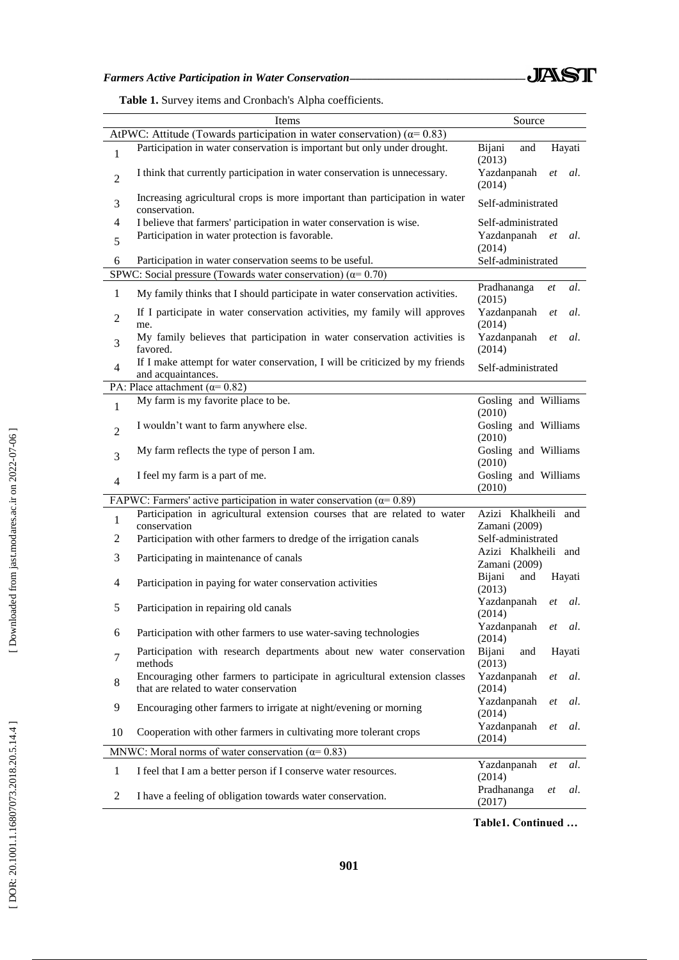# *Farmers Active Participation in Water Conservation\_\_\_\_\_\_\_\_\_\_\_\_\_\_\_\_\_\_\_\_\_\_\_\_\_\_\_\_\_\_\_*

|  | Table 1. Survey items and Cronbach's Alpha coefficients. |
|--|----------------------------------------------------------|
|--|----------------------------------------------------------|

|                | Items                                                                                                                | Source                                    |  |  |  |
|----------------|----------------------------------------------------------------------------------------------------------------------|-------------------------------------------|--|--|--|
|                | AtPWC: Attitude (Towards participation in water conservation) ( $\alpha$ = 0.83)                                     |                                           |  |  |  |
| $\mathbf{1}$   | Participation in water conservation is important but only under drought.                                             | Bijani<br>and<br>Hayati<br>(2013)         |  |  |  |
| $\overline{2}$ | I think that currently participation in water conservation is unnecessary.                                           | Yazdanpanah<br>al.<br>et<br>(2014)        |  |  |  |
| 3              | Increasing agricultural crops is more important than participation in water<br>conservation.                         | Self-administrated                        |  |  |  |
| 4              | I believe that farmers' participation in water conservation is wise.                                                 | Self-administrated                        |  |  |  |
| 5              | Participation in water protection is favorable.                                                                      | Yazdanpanah<br>al.<br><i>et</i><br>(2014) |  |  |  |
| 6              | Participation in water conservation seems to be useful.                                                              | Self-administrated                        |  |  |  |
|                | SPWC: Social pressure (Towards water conservation) ( $\alpha$ = 0.70)                                                |                                           |  |  |  |
| $\mathbf{1}$   | My family thinks that I should participate in water conservation activities.                                         | Pradhananga<br>al.<br>et<br>(2015)        |  |  |  |
| $\overline{2}$ | If I participate in water conservation activities, my family will approves<br>me.                                    | Yazdanpanah<br>al.<br><i>et</i><br>(2014) |  |  |  |
| 3              | My family believes that participation in water conservation activities is<br>favored.                                | Yazdanpanah<br>al.<br>et<br>(2014)        |  |  |  |
| $\overline{4}$ | If I make attempt for water conservation, I will be criticized by my friends<br>and acquaintances.                   | Self-administrated                        |  |  |  |
|                | PA: Place attachment ( $\alpha$ = 0.82)                                                                              |                                           |  |  |  |
| $\mathbf{1}$   | My farm is my favorite place to be.                                                                                  | Gosling and Williams<br>(2010)            |  |  |  |
| $\overline{2}$ | I wouldn't want to farm anywhere else.                                                                               | Gosling and Williams<br>(2010)            |  |  |  |
| 3              | My farm reflects the type of person I am.                                                                            | Gosling and Williams<br>(2010)            |  |  |  |
| $\overline{4}$ | I feel my farm is a part of me.                                                                                      | Gosling and Williams<br>(2010)            |  |  |  |
|                | FAPWC: Farmers' active participation in water conservation ( $\alpha$ = 0.89)                                        |                                           |  |  |  |
|                | Participation in agricultural extension courses that are related to water                                            | Azizi Khalkheili and                      |  |  |  |
| $\,1$          | conservation                                                                                                         | Zamani (2009)                             |  |  |  |
| $\overline{2}$ | Participation with other farmers to dredge of the irrigation canals                                                  | Self-administrated                        |  |  |  |
| 3              | Participating in maintenance of canals                                                                               | Azizi Khalkheili and<br>Zamani (2009)     |  |  |  |
| $\overline{4}$ | Participation in paying for water conservation activities                                                            | Bijani<br>and<br>Hayati<br>(2013)         |  |  |  |
| 5              | Participation in repairing old canals                                                                                | Yazdanpanah<br>et<br>al.<br>(2014)        |  |  |  |
| 6              | Participation with other farmers to use water-saving technologies                                                    | Yazdanpanah et<br>al.<br>(2014)           |  |  |  |
| 7              | Participation with research departments about new water conservation<br>methods                                      | Bijani<br>and<br>Hayati<br>(2013)         |  |  |  |
| 8              | Encouraging other farmers to participate in agricultural extension classes<br>that are related to water conservation | Yazdanpanah<br>al.<br>et<br>(2014)        |  |  |  |
| 9              | Encouraging other farmers to irrigate at night/evening or morning                                                    | Yazdanpanah<br>al.<br>et<br>(2014)        |  |  |  |
| 10             | Cooperation with other farmers in cultivating more tolerant crops                                                    | Yazdanpanah<br>al.<br>et<br>(2014)        |  |  |  |
|                | MNWC: Moral norms of water conservation ( $\alpha$ = 0.83)                                                           |                                           |  |  |  |
| $\mathbf{1}$   | I feel that I am a better person if I conserve water resources.                                                      | Yazdanpanah<br>al.<br>et<br>(2014)        |  |  |  |
| $\overline{2}$ | I have a feeling of obligation towards water conservation.                                                           | Pradhananga<br>et<br>al.<br>(2017)        |  |  |  |

**Table1. Continued …**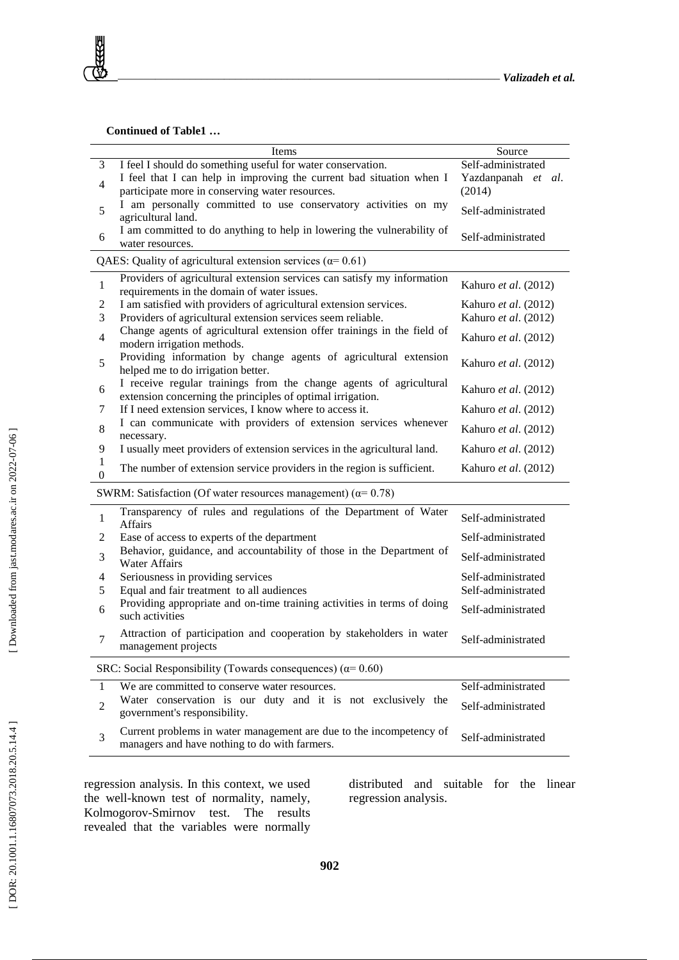#### **Continued of Table1 …**

**RAGE** 

|                                                                      | Items                                                                                                                            | Source                                       |  |  |  |  |
|----------------------------------------------------------------------|----------------------------------------------------------------------------------------------------------------------------------|----------------------------------------------|--|--|--|--|
| 3                                                                    | I feel I should do something useful for water conservation.                                                                      | Self-administrated                           |  |  |  |  |
| $\overline{4}$                                                       | I feel that I can help in improving the current bad situation when I<br>participate more in conserving water resources.          | Yazdanpanah et al.<br>(2014)                 |  |  |  |  |
| 5                                                                    | I am personally committed to use conservatory activities on my<br>agricultural land.                                             | Self-administrated                           |  |  |  |  |
| 6                                                                    | I am committed to do anything to help in lowering the vulnerability of<br>water resources.                                       | Self-administrated                           |  |  |  |  |
|                                                                      | QAES: Quality of agricultural extension services ( $\alpha$ = 0.61)                                                              |                                              |  |  |  |  |
| $\mathbf{1}$                                                         | Providers of agricultural extension services can satisfy my information<br>requirements in the domain of water issues.           | Kahuro et al. (2012)                         |  |  |  |  |
| $\overline{c}$<br>$\mathfrak{Z}$                                     | I am satisfied with providers of agricultural extension services.<br>Providers of agricultural extension services seem reliable. | Kahuro et al. (2012)<br>Kahuro et al. (2012) |  |  |  |  |
| $\overline{4}$                                                       | Change agents of agricultural extension offer trainings in the field of<br>modern irrigation methods.                            | Kahuro et al. (2012)                         |  |  |  |  |
| 5                                                                    | Providing information by change agents of agricultural extension<br>helped me to do irrigation better.                           | Kahuro et al. (2012)                         |  |  |  |  |
| 6                                                                    | I receive regular trainings from the change agents of agricultural<br>extension concerning the principles of optimal irrigation. | Kahuro et al. (2012)                         |  |  |  |  |
| 7                                                                    | If I need extension services, I know where to access it.                                                                         | Kahuro et al. (2012)                         |  |  |  |  |
| $\,$ 8 $\,$                                                          | I can communicate with providers of extension services whenever<br>necessary.                                                    | Kahuro et al. (2012)                         |  |  |  |  |
| 9                                                                    | I usually meet providers of extension services in the agricultural land.                                                         | Kahuro et al. (2012)                         |  |  |  |  |
| $\mathbf{1}$<br>$\mathbf{0}$                                         | The number of extension service providers in the region is sufficient.                                                           | Kahuro et al. (2012)                         |  |  |  |  |
|                                                                      | SWRM: Satisfaction (Of water resources management) ( $\alpha$ = 0.78)                                                            |                                              |  |  |  |  |
| $\mathbf{1}$                                                         | Transparency of rules and regulations of the Department of Water<br><b>Affairs</b>                                               | Self-administrated                           |  |  |  |  |
| $\overline{c}$                                                       | Ease of access to experts of the department                                                                                      | Self-administrated                           |  |  |  |  |
| 3                                                                    | Behavior, guidance, and accountability of those in the Department of<br><b>Water Affairs</b>                                     | Self-administrated                           |  |  |  |  |
| $\overline{4}$                                                       | Seriousness in providing services                                                                                                | Self-administrated                           |  |  |  |  |
| 5                                                                    | Equal and fair treatment to all audiences                                                                                        | Self-administrated                           |  |  |  |  |
| 6                                                                    | Providing appropriate and on-time training activities in terms of doing<br>such activities                                       | Self-administrated                           |  |  |  |  |
| $\overline{7}$                                                       | Attraction of participation and cooperation by stakeholders in water<br>management projects                                      | Self-administrated                           |  |  |  |  |
| SRC: Social Responsibility (Towards consequences) ( $\alpha$ = 0.60) |                                                                                                                                  |                                              |  |  |  |  |
| 1                                                                    | We are committed to conserve water resources.                                                                                    | Self-administrated                           |  |  |  |  |
| $\overline{2}$                                                       | Water conservation is our duty and it is not exclusively the<br>government's responsibility.                                     | Self-administrated                           |  |  |  |  |
| 3                                                                    | Current problems in water management are due to the incompetency of<br>managers and have nothing to do with farmers.             | Self-administrated                           |  |  |  |  |

regression analysis. In this context, we used the well -known test of normality, namely, Kolmogorov -Smirnov test. The results revealed that the variables were normally

distributed and suitable for the linear regression analysis.

**902**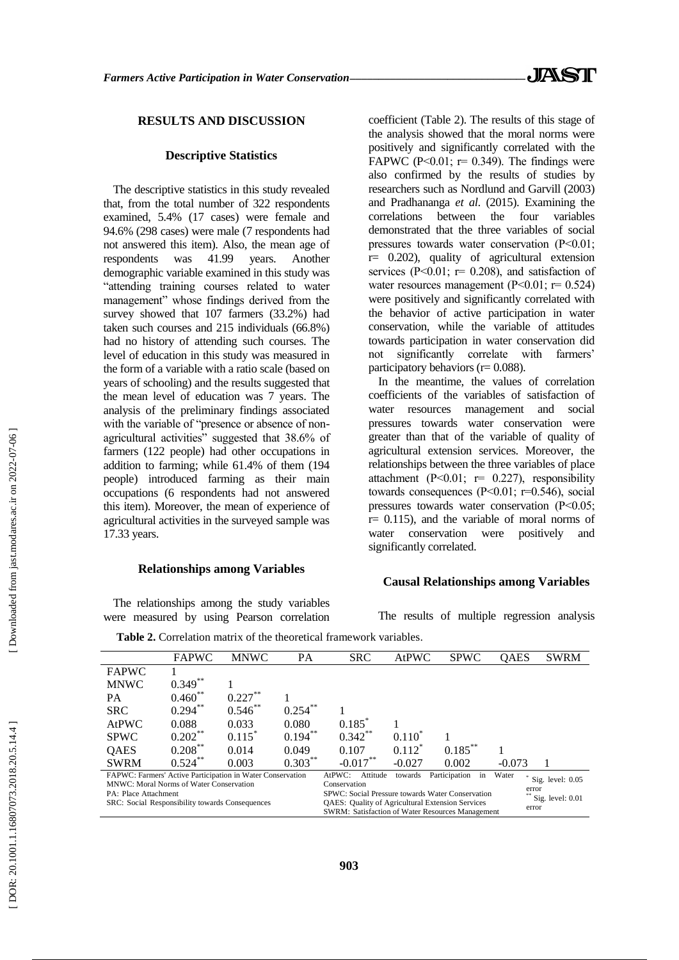## **RESULTS AND DISCUSSION**

#### **Descriptive Statistics**

The descriptive statistics in this study revealed that, from the total number of 322 respondents examined, 5.4% (17 cases) were female and 94.6% (298 cases) were male (7 respondents had not answered this item). Also, the mean age of respondents was 41.99 years. Another demographic variable examined in this study was "attending training courses related to water management" whose findings derived from the survey showed that 107 farmers (33.2%) had taken such courses and 215 individuals (66.8%) had no history of attending such courses. The level of education in this study was measured in the form of a variable with a ratio scale (based on years of schooling) and the results suggested that the mean level of education was 7 years. The analysis of the preliminary findings associated with the variable of "presence or absence of nonagricultural activities" suggested that 38.6% of farmers (122 people) had other occupations in addition to farming; while 61.4% of them (194 people) introduced farming as their main occupations (6 respondents had not answered this item). Moreover, the mean of experience of agricultural activities in the surveyed sample was 17.33 years.

## **Relationships among Variables**

The relationships among the study variables were measured by using Pearson correlation

coefficient (Table 2). The results of this stage of the analysis showed that the moral norms were positively and significantly correlated with the FAPWC (P<0.01;  $r = 0.349$ ). The findings were also confirmed by the results of studies by researchers such as Nordlund and Garvill (2003) and Pradhananga *et al*. (2015). Examining the correlations between the four variables demonstrated that the three variables of social pressures towards water conservation (P˂0.01; r= 0.202), quality of agricultural extension services ( $P<0.01$ ;  $r= 0.208$ ), and satisfaction of water resources management  $(P<0.01; r= 0.524)$ were positively and significantly correlated with the behavior of active participation in water conservation, while the variable of attitudes towards participation in water conservation did not significantly correlate with farmers' participatory behaviors ( $r= 0.088$ ).

In the meantime, the values of correlation coefficients of the variables of satisfaction of water resources management and social pressures towards water conservation were greater than that of the variable of quality of agricultural extension services. Moreover, the relationships between the three variables of place attachment (P<0.01;  $r= 0.227$ ), responsibility towards consequences (P˂0.01; r=0.546), social pressures towards water conservation (P˂0.05;  $r= 0.115$ ), and the variable of moral norms of water conservation were positively and significantly correlated.

#### **Causal Relationships among Variables**

The results of multiple regression analysis

|                                                            | <b>FAPWC</b>      | <b>MNWC</b>          | <b>PA</b>  | <b>SRC</b>                                              | <b>AtPWC</b> | <b>SPWC</b>         | <b>OAES</b> | <b>SWRM</b>        |
|------------------------------------------------------------|-------------------|----------------------|------------|---------------------------------------------------------|--------------|---------------------|-------------|--------------------|
| <b>FAPWC</b>                                               |                   |                      |            |                                                         |              |                     |             |                    |
| <b>MNWC</b>                                                | $0.349***$        |                      |            |                                                         |              |                     |             |                    |
| <b>PA</b>                                                  | $0.460^{\degree}$ | 0.227                |            |                                                         |              |                     |             |                    |
| <b>SRC</b>                                                 | $0.294***$        | $0.546**$            | $0.254***$ |                                                         |              |                     |             |                    |
| AtPWC                                                      | 0.088             | 0.033                | 0.080      | $0.185^{\degree}$                                       |              |                     |             |                    |
| <b>SPWC</b>                                                | $0.202***$        | $0.115$ <sup>*</sup> | $0.194***$ | $0.342***$                                              | $0.110^*$    |                     |             |                    |
| <b>OAES</b>                                                | $0.208***$        | 0.014                | 0.049      | 0.107                                                   | $0.112^*$    | $0.185***$          |             |                    |
| <b>SWRM</b>                                                | 0.524             | 0.003                | $0.303***$ | $-0.017$                                                | $-0.027$     | 0.002               | $-0.073$    |                    |
| FAPWC: Farmers' Active Participation in Water Conservation |                   |                      |            | AtPWC:<br>Attitude                                      | towards      | Participation<br>in | Water       |                    |
| MNWC: Moral Norms of Water Conservation                    |                   |                      |            | Conservation                                            |              |                     |             | Sig. level: $0.05$ |
| PA: Place Attachment                                       |                   |                      |            | SPWC: Social Pressure towards Water Conservation        |              |                     |             | error              |
| SRC: Social Responsibility towards Consequences            |                   |                      |            | <b>QAES:</b> Quality of Agricultural Extension Services |              |                     |             | Sig. level: $0.01$ |
|                                                            |                   |                      |            | <b>SWRM: Satisfaction of Water Resources Management</b> |              |                     | error       |                    |

Table 2. Correlation matrix of the theoretical framework variables.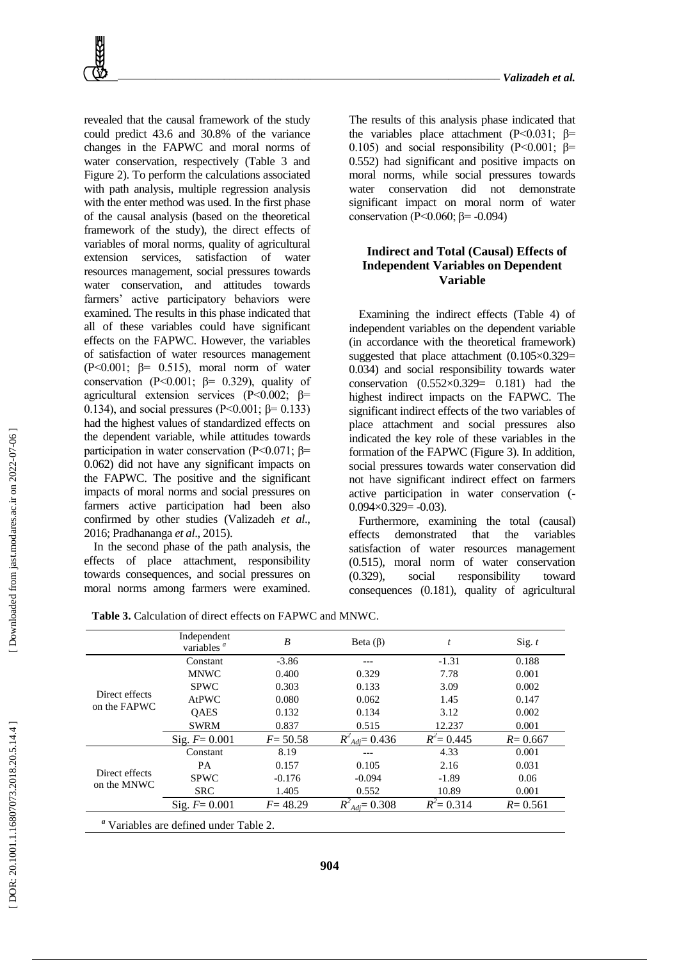revealed that the causal framework of the study could predict 43.6 and 30.8% of the variance changes in the FAPWC and moral norms of water conservation, respectively (Table 3 and Figure 2). To perform the calculations associated with path analysis, multiple regression analysis with the enter method was used. In the first phase of the causal analysis (based on the theoretical framework of the study), the direct effects of variables of moral norms, quality of agricultural extension services, satisfaction of water resources management, social pressures towards water conservation, and attitudes towards farmers' active participatory behaviors were examined. The results in this phase indicated that all of these variables could have significant effects on the FAPWC. However, the variables of satisfaction of water resources management (P $<0.001$ ;  $\beta$ = 0.515), moral norm of water conservation (P<0.001;  $\beta$ = 0.329), quality of agricultural extension services (P<0.002; β= 0.134), and social pressures (P˂0.001; β= 0.133) had the highest values of standardized effects on the dependent variable, while attitudes towards participation in water conservation (P˂0.071; β= 0.062) did not have any significant impacts on the FAPWC. The positive and the significant impacts of moral norms and social pressures on farmers active participation had been also confirmed by other studies (Valizadeh *et al*., 2016; Pradhananga *et al*., 2015).

In the second phase of the path analysis, the effects of place attachment, responsibility towards consequences, and social pressures on moral norms among farmers were examined.

The results of this analysis phase indicated that the variables place attachment (P<0.031; β= 0.105) and social responsibility (P<0.001;  $\beta$ = 0.552) had significant and positive impacts on moral norms, while social pressures towards water conservation did not demonstrate significant impact on moral norm of water conservation (P<0.060; β= -0.094)

## **Indirect and Total (Causal) Effects of Independent Variables on Dependent Variable**

Examining the indirect effects (Table 4) of independent variables on the dependent variable (in accordance with the theoretical framework) suggested that place attachment (0.105×0.329= 0.034) and social responsibility towards water conservation  $(0.552\times0.329= 0.181)$  had the highest indirect impacts on the FAPWC. The significant indirect effects of the two variables of place attachment and social pressures also indicated the key role of these variables in the formation of the FAPWC (Figure 3). In addition, social pressures towards water conservation did not have significant indirect effect on farmers active participation in water conservation ( -  $0.094 \times 0.329 = -0.03$ .

Furthermore, examining the total (causal) effects demonstrated that the variables satisfaction of water resources management (0.515), moral norm of water conservation (0.329), social responsibility toward consequences (0.181), quality of agricultural

|                                        | Independent<br>variables $a$ | $\boldsymbol{B}$ | Beta $(\beta)$               | $\boldsymbol{t}$ | Sig. $t$    |
|----------------------------------------|------------------------------|------------------|------------------------------|------------------|-------------|
|                                        | Constant                     | $-3.86$          | ---                          | $-1.31$          | 0.188       |
|                                        | <b>MNWC</b>                  | 0.400            | 0.329                        | 7.78             | 0.001       |
|                                        | <b>SPWC</b>                  | 0.303            | 0.133                        | 3.09             | 0.002       |
| Direct effects                         | <b>AtPWC</b>                 | 0.080            | 0.062                        | 1.45             | 0.147       |
| on the FAPWC                           | <b>OAES</b>                  | 0.132            | 0.134                        | 3.12             | 0.002       |
|                                        | <b>SWRM</b>                  | 0.837            | 0.515                        | 12.237           | 0.001       |
|                                        | Sig. $F = 0.001$             | $F = 50.58$      | $R^{2}_{\text{Adj}} = 0.436$ | $R^2 = 0.445$    | $R = 0.667$ |
|                                        | Constant                     | 8.19             |                              | 4.33             | 0.001       |
|                                        | PA                           | 0.157            | 0.105                        | 2.16             | 0.031       |
| Direct effects                         | <b>SPWC</b>                  | $-0.176$         | $-0.094$                     | $-1.89$          | 0.06        |
| on the MNWC                            | <b>SRC</b>                   | 1.405            | 0.552                        | 10.89            | 0.001       |
|                                        | Sig. $F = 0.001$             | $F = 48.29$      | $R^{2}_{\text{Adj}} = 0.308$ | $R^2 = 0.314$    | $R = 0.561$ |
| " Variables are defined under Table 2. |                              |                  |                              |                  |             |

**904**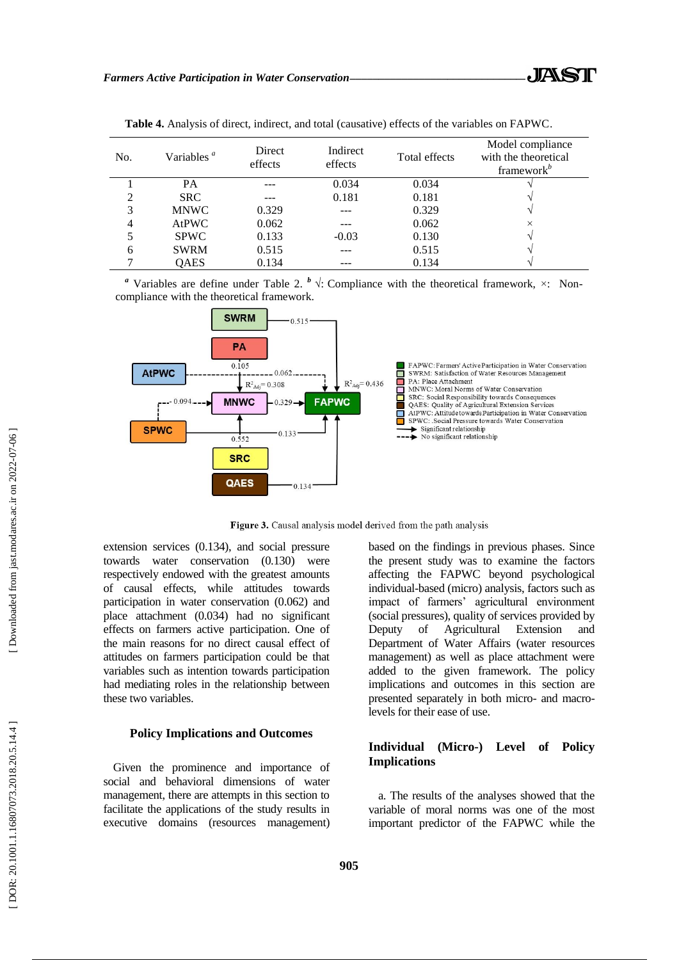| No. | Variables $a$ | Direct<br>effects | Indirect<br>effects | Total effects | Model compliance<br>with the theoretical<br>framework $\mathbf{k}^b$ |
|-----|---------------|-------------------|---------------------|---------------|----------------------------------------------------------------------|
|     | <b>PA</b>     |                   | 0.034               | 0.034         |                                                                      |
| ↑   | <b>SRC</b>    |                   | 0.181               | 0.181         |                                                                      |
| 3   | <b>MNWC</b>   | 0.329             |                     | 0.329         |                                                                      |
| 4   | <b>AtPWC</b>  | 0.062             |                     | 0.062         | $\times$                                                             |
|     | <b>SPWC</b>   | 0.133             | $-0.03$             | 0.130         |                                                                      |
| 6   | <b>SWRM</b>   | 0.515             |                     | 0.515         |                                                                      |
|     | QAES          | 0.134             |                     | 0.134         |                                                                      |

**Table 4.** Analysis of direct, indirect, and total (causative) effects of the variables on FAPWC .

<sup>*a*</sup> Variables are define under Table 2. <sup>*b*</sup>  $\sqrt{\cdot}$ : Compliance with the theoretical framework,  $\times$ : Noncompliance with the theoretical framework.



Figure 3. Causal analysis model derived from the path analysis

extension services (0.134), and social pressure towards water conservation (0.130) were respectively endowed with the greatest amounts of causal effects, while attitudes towards participation in water conservation (0.062) and place attachment (0.034) had no significant effects on farmers active participation. One of the main reasons for no direct causal effect of attitudes on farmers participation could be that variables such as intention towards participation had mediating roles in the relationship between these two variables.

## **Policy Implications and Outcomes**

Given the prominence and importance of social and behavioral dimensions of water management, there are attempts in this section to facilitate the applications of the study results in executive domains (resources management) based on the findings in previous phases. Since the present study was to examine the factors affecting the FAPWC beyond psychological individual -based (micro) analysis, factors such as impact of farmers' agricultural environment (social pressures), quality of services provided by Deputy of Agricultural Extension and Department of Water Affairs (water resources management) as well as place attachment were added to the given framework. The policy implications and outcomes in this section are presented separately in both micro- and macrolevels for their ease of use.

## **Individual (Micro -) Level of Policy Implications**

a. The results of the analyses showed that the variable of moral norms was one of the most important predictor of the FAPWC while the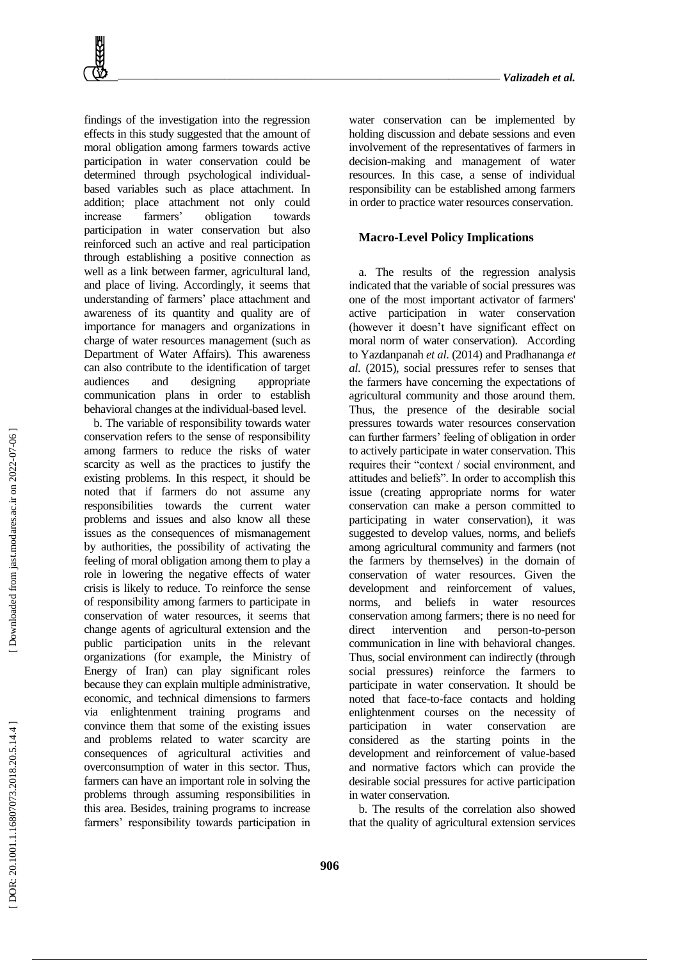findings of the investigation into the regression effects in this study suggested that the amount of moral obligation among farmers towards active participation in water conservation could be determined through psychological individual based variables such as place attachment. In addition; place attachment not only could increase farmers' obligation towards participation in water conservation but also reinforced such an active and real participation through establishing a positive connection as well as a link between farmer, agricultural land, and place of living. Accordingly, it seems that understanding of farmers' place attachment and awareness of its quantity and quality are of importance for managers and organizations in charge of water resources management (such as Department of Water Affairs). This awareness can also contribute to the identification of target audiences and designing appropriate communication plans in order to establish behavioral changes at the individual -based level.

b. The variable of responsibility towards water conservation refers to the sense of responsibility among farmers to reduce the risks of water scarcity as well as the practices to justify the existing problems. In this respect, it should be noted that if farmers do not assume any responsibilities towards the current water problems and issues and also know all these issues as the consequences of mismanagement by authorities, the possibility of activating the feeling of moral obligation among them to play a role in lowering the negative effects of water crisis is likely to reduce. To reinforce the sense of responsibility among farmers to participate in conservation of water resources, it seems that change agents of agricultural extension and the public participation units in the relevant organizations (for example, the Ministry of Energy of Iran) can play significant roles because they can explain multiple administrative, economic, and technical dimensions to farmers via enlightenment training programs and convince them that some of the existing issues and problems related to water scarcity are consequences of agricultural activities and overconsumption of water in this sector. Thus, farmers can have an important role in solving the problems through assuming responsibilities in this area. Besides, training programs to increase farmers' responsibility towards participation in

water conservation can be implemented by holding discussion and debate sessions and even involvement of the representatives of farmers in decision -making and management of water resources. In this case, a sense of individual responsibility can be established among farmers in order to practice water resources conservation.

#### **Macro -Level Policy Implications**

a. The results of the regression analysis indicated that the variable of social pressures was one of the most important activator of farmers' active participation in water conservation (however it doesn't have significant effect on moral norm of water conservation). According to Yazdanpanah *et al*. (2014) and Pradhananga *et al*. (2015), social pressures refer to senses that the farmers have concerning the expectations of agricultural community and those around them. Thus, the presence of the desirable social pressures towards water resources conservation can further farmers' feeling of obligation in order to actively participate in water conservation. This requires their "context / social environment, and attitudes and beliefs". In order to accomplish this issue (creating appropriate norms for water conservation can make a person committed to participating in water conservation), it was suggested to develop values, norms, and beliefs among agricultural community and farmers (not the farmers by themselves) in the domain of conservation of water resources. Given the development and reinforcement of values, norms, and beliefs in water resources conservation among farmers; there is no need for direct intervention and -to -person communication in line with behavioral changes. Thus, social environment can indirectly (through social pressures) reinforce the farmers to participate in water conservation. It should be noted that face -to -face contacts and holding enlightenment courses on the necessity of participation in water conservation considered as the starting points in the development and reinforcement of value -based and normative factors which can provide the desirable social pressures for active participation in water conservation.

b. The results of the correlation also showed that the quality of agricultural extension services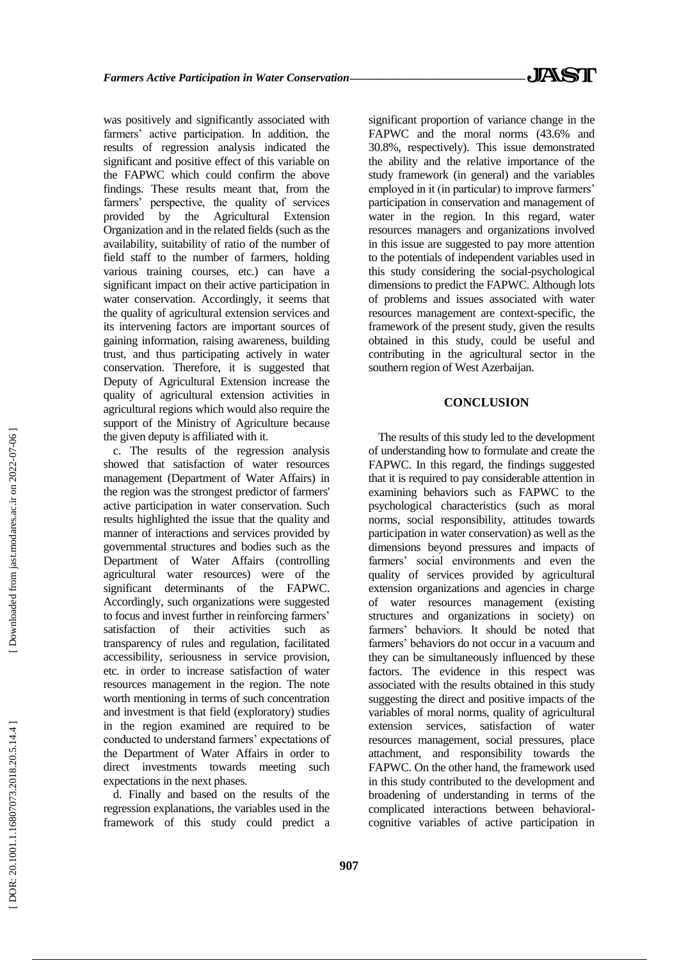was positively and significantly associated with farmers' active participation. In addition, the results of regression analysis indicated the significant and positive effect of this variable on the FAPWC which could confirm the above findings. These results meant that, from the farmers' perspective, the quality of services provided by the Agricultural Extension Organization and in the related fields (such as the availability, suitability of ratio of the number of field staff to the number of farmers, holding various training courses, etc.) can have a significant impact on their active participation in water conservation. Accordingly, it seems that the quality of agricultural extension services and its intervening factors are important sources of gaining information, raising awareness, building trust, and thus participating actively in water conservation. Therefore, it is suggested that Deputy of Agricultural Extension increase the quality of agricultural extension activities in agricultural regions which would also require the support of the Ministry of Agriculture because the given deputy is affiliated with it.

c. The results of the regression analysis showed that satisfaction of water resources management (Department of Water Affairs) in the region was the strongest predictor of farmers' active participation in water conservation. Such results highlighted the issue that the quality and manner of interactions and services provided by governmental structures and bodies such as the Department of Water Affairs (controlling agricultural water resources) were of the significant determinants of the FAPWC. Accordingly, such organizations were suggested to focus and invest further in reinforcing farmers' satisfaction of their activities such as transparency of rules and regulation, facilitated accessibility, seriousness in service provision, etc. in order to increase satisfaction of water resources management in the region. The note worth mentioning in terms of such concentration and investment is that field (exploratory) studies in the region examined are required to be conducted to understand farmers' expectations of the Department of Water Affairs in order to direct investments towards meeting such expectations in the next phases.

d. Finally and based on the results of the regression explanations, the variables used in the framework of this study could predict a significant proportion of variance change in the FAPWC and the moral norms (43.6% and 30.8%, respectively). This issue demonstrated the ability and the relative importance of the study framework (in general) and the variables employed in it (in particular) to improve farmers' participation in conservation and management of water in the region. In this regard, water resources managers and organizations involved in this issue are suggested to pay more attention to the potentials of independent variables used in this study considering the social -psychological dimensions to predict the FAPWC. Although lots of problems and issues associated with water resources management are context -specific, the framework of the present study, given the results obtained in this study, could be useful and contributing in the agricultural sector in the southern region of West Azerbaijan.

#### **CONCLUSION**

The results of this study led to the development of understanding how to formulate and create the FAPWC. In this regard, the findings suggested that it is required to pay considerable attention in examining behaviors such as FAPWC to the psychological characteristics (such as moral norms, social responsibility, attitudes towards participation in water conservation) as well as the dimensions beyond pressures and impacts of farmers' social environments and even the quality of services provided by agricultural extension organizations and agencies in charge of water resources management (existing structures and organizations in society) on farmers' behaviors. It should be noted that farmers' behaviors do not occur in a vacuum and they can be simultaneously influenced by these factors. The evidence in this respect was associated with the results obtained in this study suggesting the direct and positive impacts of the variables of moral norms, quality of agricultural extension services, satisfaction of water resources management, social pressures, place attachment, and responsibility towards the FAPWC. On the other hand, the framework used in this study contributed to the development and broadening of understanding in terms of the complicated interactions between behavioral cognitive variables of active participation in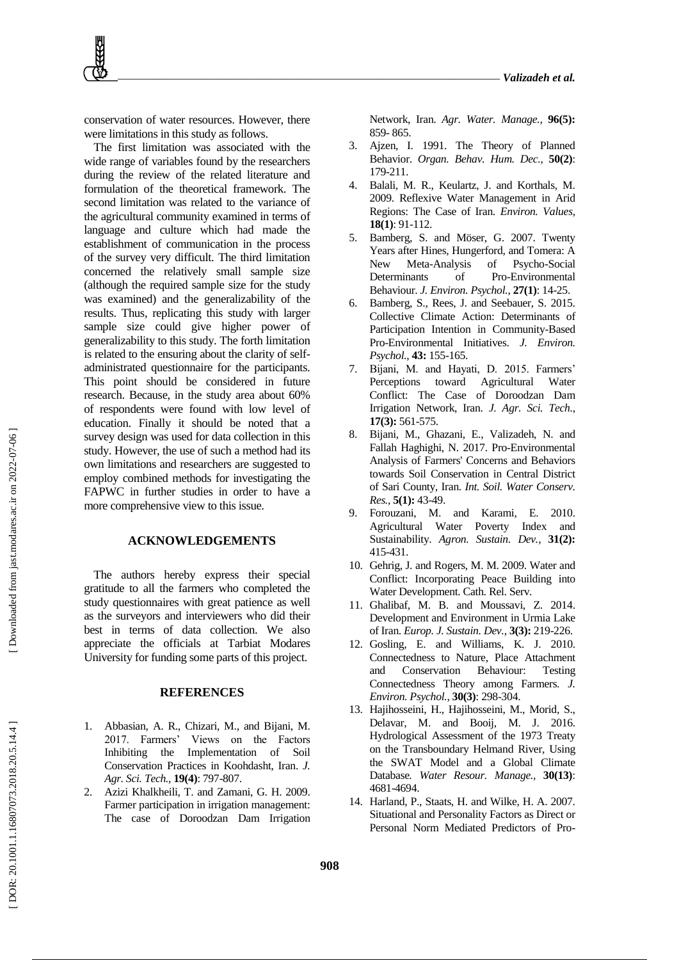conservation of water resources. However, there were limitations in this study as follows.

The first limitation was associated with the wide range of variables found by the researchers during the review of the related literature and formulation of the theoretical framework. The second limitation was related to the variance of the agricultural community examined in terms of language and culture which had made the establishment of communication in the process of the survey very difficult. The third limitation concerned the relatively small sample size (although the required sample size for the study was examined) and the generalizability of the results. Thus, replicating this study with larger sample size could give higher power of generalizability to this study. The forth limitation is related to the ensuring about the clarity of selfadministrated questionnaire for the participants. This point should be considered in future research. Because, in the study area about 60% of respondents were found with low level of education. Finally it should be noted that a survey design was used for data collection in this study. However, the use of such a method had its own limitations and researchers are suggested to employ combined methods for investigating the FAPWC in further studies in order to have a more comprehensive view to this issue.

#### **ACKNOWLEDGEMENTS**

The authors hereby express their special gratitude to all the farmers who completed the study questionnaires with great patience as well as the surveyors and interviewers who did their best in terms of data collection. We also appreciate the officials at Tarbiat Modares University for funding some parts of this project.

#### **REFERENCES**

- 1 . Abbasian, A. R., Chizari, M., and Bijani, M. 2017. Farmers' Views on the Factors Inhibiting the Implementation of Soil Conservation Practices in Koohdasht, Iran. *J. Agr. Sci. Tech.,* **19(4)**: 797 -807.
- 2. . Azizi Khalkheili, T. and Zamani, G. H. 2009. Farmer participation in irrigation management: The case of Doroodzan Dam Irrigation

Network, Iran. *Agr. Water. Manage.*, **96(5):** 859 - 865.

- 3. . Ajzen, I. 1991. The Theory of Planned Behavior. *Organ. Behav. Hum. Dec.,* **50(2)**: 179 -211.
- 4 . Balali, M. R., Keulartz, J. and Korthals, M. 2009. Reflexive Water Management in Arid Regions: The Case of Iran. *Environ. Values*, **18(1)**: 91 -112.
- 5 . Bamberg, S. and Möser, G. 2007. Twenty Years after Hines, Hungerford, and Tomera: A New Meta -Analysis of Psycho Psycho-Social Determinants of Pro-Environmental Behaviour. *J. Environ. Psychol.*, **27(1)**: 14 -25.
- 6 . Bamberg, S., Rees, J. and Seebauer, S. 2015. Collective Climate Action: Determinants of Participation Intention in Community -Based Pro -Environmental Initiatives. *J. Environ. Psychol.*, **43:** 155 -165.
- 7 . Bijani, M. and Hayati, D. 2015. Farmers' Perceptions toward Agricultural Water Conflict: The Case of Doroodzan Dam Irrigation Network, Iran. *J. Agr. Sci. Tech.*, **17(3):** 561 -575.
- 8. . Bijani, M., Ghazani, E., Valizadeh, N. and Fallah Haghighi, N. 2017. Pro -Environmental Analysis of Farmers' Concerns and Behaviors towards Soil Conservation in Central District of Sari County, Iran. *Int. Soil. Water Conserv. Res.,* **5(1):** 43 -49.
- 9 . Forouzani, M. and Karami, E. 2010. Agricultural Water Poverty Index and Sustainability. *Agron. Sustain. Dev.*, **31(2):** 415 -431.
- 10 . Gehrig, J. and Rogers, M. M. 2009. Water and Conflict: Incorporating Peace Building into Water Development. Cath. Rel. Serv.
- 11 . Ghalibaf, M. B. and Moussavi, Z. 2014. Development and Environment in Urmia Lake of Iran. *Europ. J. Sustain. Dev.*, **3(3):** 219 -226.
- 12 . Gosling, E. and Williams, K. J. 2010. Connectedness to Nature, Place Attachment and Conservation Behaviour: Testing Connectedness Theory among Farmers. *J. Environ. Psychol .*, **30(3)**: 298 -304.
- 13 . Hajihosseini, H., Hajihosseini, M., Morid, S., Delavar, M. and Booij, M. J. 2016. Hydrological Assessment of the 1973 Treaty on the Transboundary Helmand River, Using the SWAT Model and a Global Climate Database*. Water Resour. Manage.,*  **30(13)**: 4681 -4694.
- 14 . Harland, P., Staats, H. and Wilke, H. A. 2007. Situational and Personality Factors as Direct or Personal Norm Mediated Predictors of Pro -

Downloaded from jast.modares.ac.ir on 2022-07-06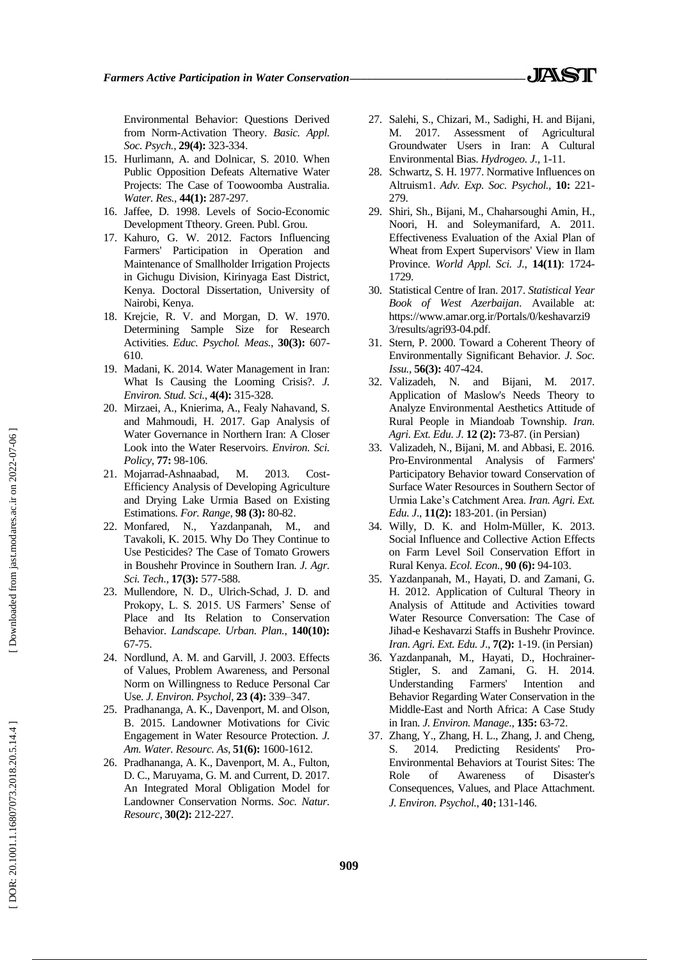Environmental Behavior: Questions Derived from Norm -Activation Theory. *Basic. Appl. Soc. Psych.,* **29(4):** 323 -334.

- 15 . Hurlimann, A. and Dolnicar, S. 2010. When Public Opposition Defeats Alternative Water Projects: The Case of Toowoomba Australia. *Water. Res.*, **44(1):** 287 -297.
- 16 . Jaffee, D. 1998. Levels of Socio -Economic Development Ttheory. Green. Publ. Grou.
- 17 . Kahuro, G. W. 2012. Factors Influencing Farmers' Participation in Operation and Maintenance of Smallholder Irrigation Projects in Gichugu Division, Kirinyaga East District, Kenya. Doctoral Dissertation, University of Nairobi, Kenya.
- 18 . Krejcie, R. V. and Morgan, D. W. 1970. Determining Sample Size for Research Activities. *Educ. Psychol. Meas.*, **30(3):** 607 - 610.
- 19 . Madani, K. 2014. Water Management in Iran: What Is Causing the Looming Crisis?. *J. Environ. Stud. Sci.*, **4(4):** 315 -328.
- 20 . Mirzaei, A., Knierima, A., Fealy Nahavand, S. and Mahmoudi, H. 2017. Gap Analysis of Water Governance in Northern Iran: A Closer Look into the Water Reservoirs. *Environ. Sci. Policy,* **77 :** 98 -106.
- 21 . Mojarrad -Ashnaabad, M. 2013. Cost Cost-Efficiency Analysis of Developing Agriculture and Drying Lake Urmia Based on Existing Estimations. *For. Range*, **98 (3):** 80 -82.
- 22 . Monfared, N., Yazdanpanah, M., and Tavakoli, K. 2015. Why Do They Continue to Use Pesticides? The Case of Tomato Growers in Boushehr Province in Southern Iran. *J. Agr. Sci. Tech.*, **17(3):** 577 -588 .
- 23 . Mullendore, N. D., Ulrich -Schad, J. D. and Prokopy, L. S. 2015. US Farmers' Sense of Place and Its Relation to Conservation Behavior. *Landscape. Urban. Plan.*, **140(10):** 67 -75.
- 24 . Nordlund, A. M. and Garvill, J. 2003. Effects of Values, Problem Awareness, and Personal Norm on Willingness to Reduce Personal Car Use. *J. Environ. Psychol*, **23 (4):** 339 –347.
- 25 . Pradhananga, A. K., Davenport, M. and Olson, B. 2015. Landowner Motivations for Civic Engagement in Water Resource Protection. *J. Am. Water. Resourc. As*, **51(6):** 1600 -1612.
- 26 . Pradhananga, A. K., Davenport, M. A., Fulton, D. C., Maruyama, G. M. and Current, D. 2017. An Integrated Moral Obligation Model for Landowner Conservation Norms. *Soc. Natur. Resourc*, **30(2):** 212 -227.
- 27 . Salehi, S., Chizari, M., Sadighi, H. and Bijani, M. 2017. Assessment of Agricultural Groundwater Users in Iran: A Cultural Environmental Bias. *Hydrogeo. J.,*  1 -11.
- 28 . Schwartz, S. H. 1977. Normative Influences on Altruism1. *Adv. Exp. Soc. Psychol.,* **10:** 221 - 279.
- 29 . Shiri, Sh., Bijani, M., Chaharsoughi Amin, H., Noori, H. and Soleymanifard, A. 2011. Effectiveness Evaluation of the Axial Plan of Wheat from Expert Supervisors' View in Ilam Province. *World Appl. Sci. J.*, **14(11)**: 1724 - 1729.
- 30 . Statistical Centre of Iran. 2017. *Statistical Year Book of West Azerbaijan*. Available at: https://www.amar.org.ir/Portals/0/keshavarzi9 3/results/agri93 -04.pdf.
- 31 . Stern, P. 2000. Toward a Coherent Theory of Environmentally Significant Behavior. *J. Soc. Issu.*, **56(3):** 407 -424.
- 32 . Valizadeh, N. and Bijani, M. 2017. Application of Maslow's Needs Theory to Analyze Environmental Aesthetics Attitude of Rural People in Miandoab Township. *Iran. Agri. Ext. Edu. J*. **12 (2):** 73 -87. (in Persian)
- 33 . Valizadeh, N., Bijani, M. and Abbasi, E. 2016. Pro -Environmental Analysis of Farmers' Participatory Behavior toward Conservation of Surface Water Resources in Southern Sector of Urmia Lake's Catchment Area. *Iran. Agri. Ext. Edu. J*., **11(2):** 183 -201. (in Persian)
- 34 . Willy, D. K. and Holm -Müller, K. 2013. Social Influence and Collective Action Effects on Farm Level Soil Conservation Effort in Rural Kenya. *Ecol. Econ.*, **90 (6):** 94 -103.
- 35 . Yazdanpanah, M., Hayati, D. and Zamani, G. H. 2012. Application of Cultural Theory in Analysis of Attitude and Activities toward Water Resource Conversation: The Case of Jihad -e Keshavarzi Staffs in Bushehr Province. *Iran. Agri. Ext. Edu. J*., **7(2):** 1 -19. (in Persian)
- 36 . Yazdanpanah, M., Hayati, D., Hochrainer Stigler, S. and Zamani, G. H. 2014. Understanding Farmers' Intention and Behavior Regarding Water Conservation in the Middle -East and North Africa: A Case Study in Iran. *J. Environ. Manage.*, **135:** 63 -72.
- 37 . Zhang, Y., Zhang, H. L., Zhang, J. and Cheng, S. 2014. Predicting Residents' Pro-Environmental Behaviors at Tourist Sites: The Role of Awareness of Disaster's Consequences, Values, and Place Attachment. J. Environ. Psychol., 40: 131-146.